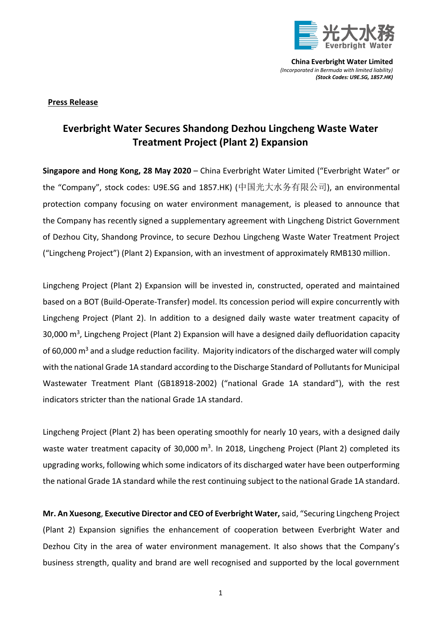

**China Everbright Water Limited** *(Incorporated in Bermuda with limited liability) (Stock Codes: U9E.SG, 1857.HK)*

## **Press Release**

## **Everbright Water Secures Shandong Dezhou Lingcheng Waste Water Treatment Project (Plant 2) Expansion**

**Singapore and Hong Kong, 28 May 2020** – China Everbright Water Limited ("Everbright Water" or the "Company", stock codes: U9E.SG and 1857.HK) (中国光大水务有限公司), an environmental protection company focusing on water environment management, is pleased to announce that the Company has recently signed a supplementary agreement with Lingcheng District Government of Dezhou City, Shandong Province, to secure Dezhou Lingcheng Waste Water Treatment Project ("Lingcheng Project") (Plant 2) Expansion, with an investment of approximately RMB130 million.

Lingcheng Project (Plant 2) Expansion will be invested in, constructed, operated and maintained based on a BOT (Build-Operate-Transfer) model. Its concession period will expire concurrently with Lingcheng Project (Plant 2). In addition to a designed daily waste water treatment capacity of 30,000 m<sup>3</sup>, Lingcheng Project (Plant 2) Expansion will have a designed daily defluoridation capacity of 60,000  $\text{m}^3$  and a sludge reduction facility. Majority indicators of the discharged water will comply with the national Grade 1A standard according to the Discharge Standard of Pollutants for Municipal Wastewater Treatment Plant (GB18918-2002) ("national Grade 1A standard"), with the rest indicators stricter than the national Grade 1A standard.

Lingcheng Project (Plant 2) has been operating smoothly for nearly 10 years, with a designed daily waste water treatment capacity of 30,000 m<sup>3</sup>. In 2018, Lingcheng Project (Plant 2) completed its upgrading works, following which some indicators of its discharged water have been outperforming the national Grade 1A standard while the rest continuing subject to the national Grade 1A standard.

**Mr. An Xuesong**, **Executive Director and CEO of Everbright Water,**said, "Securing Lingcheng Project (Plant 2) Expansion signifies the enhancement of cooperation between Everbright Water and Dezhou City in the area of water environment management. It also shows that the Company's business strength, quality and brand are well recognised and supported by the local government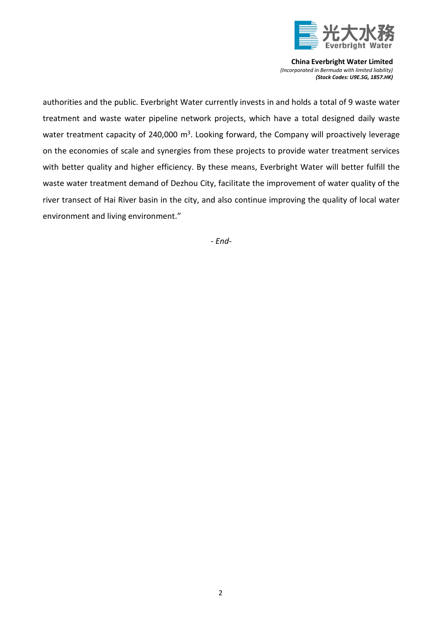

**China Everbright Water Limited** *(Incorporated in Bermuda with limited liability) (Stock Codes: U9E.SG, 1857.HK)*

authorities and the public. Everbright Water currently invests in and holds a total of 9 waste water treatment and waste water pipeline network projects, which have a total designed daily waste water treatment capacity of 240,000  $\text{m}^3$ . Looking forward, the Company will proactively leverage on the economies of scale and synergies from these projects to provide water treatment services with better quality and higher efficiency. By these means, Everbright Water will better fulfill the waste water treatment demand of Dezhou City, facilitate the improvement of water quality of the river transect of Hai River basin in the city, and also continue improving the quality of local water environment and living environment."

*- End-*